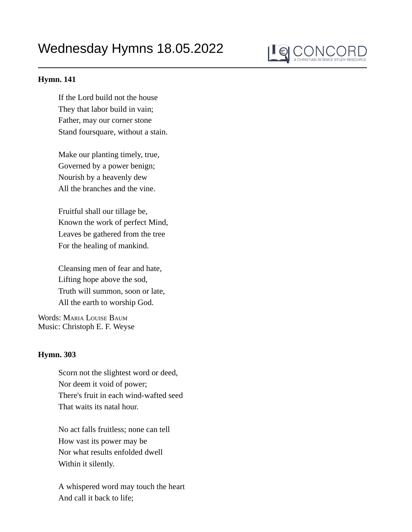## Wednesday Hymns 18.05.2022



## **Hymn. 141**

If the Lord build not the house They that labor build in vain; Father, may our corner stone Stand foursquare, without a stain.

Make our planting timely, true, Governed by a power benign; Nourish by a heavenly dew All the branches and the vine.

Fruitful shall our tillage be, Known the work of perfect Mind, Leaves be gathered from the tree For the healing of mankind.

Cleansing men of fear and hate, Lifting hope above the sod, Truth will summon, soon or late, All the earth to worship God.

Words: Maria Louise Baum Music: Christoph E. F. Weyse

## **Hymn. 303**

Scorn not the slightest word or deed, Nor deem it void of power; There's fruit in each wind-wafted seed That waits its natal hour.

No act falls fruitless; none can tell How vast its power may be Nor what results enfolded dwell Within it silently.

A whispered word may touch the heart And call it back to life;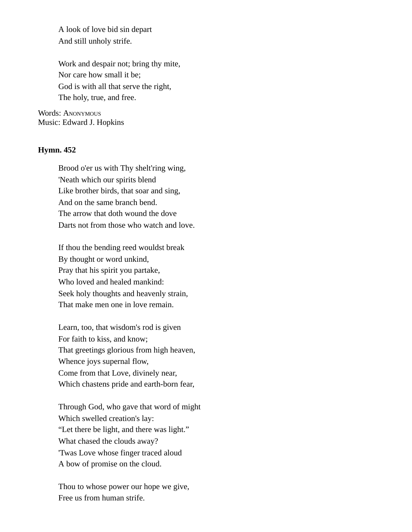A look of love bid sin depart And still unholy strife.

Work and despair not; bring thy mite, Nor care how small it be; God is with all that serve the right, The holy, true, and free.

Words: Anonymous Music: Edward J. Hopkins

## **Hymn. 452**

Brood o'er us with Thy shelt'ring wing, 'Neath which our spirits blend Like brother birds, that soar and sing, And on the same branch bend. The arrow that doth wound the dove Darts not from those who watch and love.

If thou the bending reed wouldst break By thought or word unkind, Pray that his spirit you partake, Who loved and healed mankind: Seek holy thoughts and heavenly strain, That make men one in love remain.

Learn, too, that wisdom's rod is given For faith to kiss, and know; That greetings glorious from high heaven, Whence joys supernal flow, Come from that Love, divinely near, Which chastens pride and earth-born fear,

Through God, who gave that word of might Which swelled creation's lay: "Let there be light, and there was light." What chased the clouds away? 'Twas Love whose finger traced aloud A bow of promise on the cloud.

Thou to whose power our hope we give, Free us from human strife.